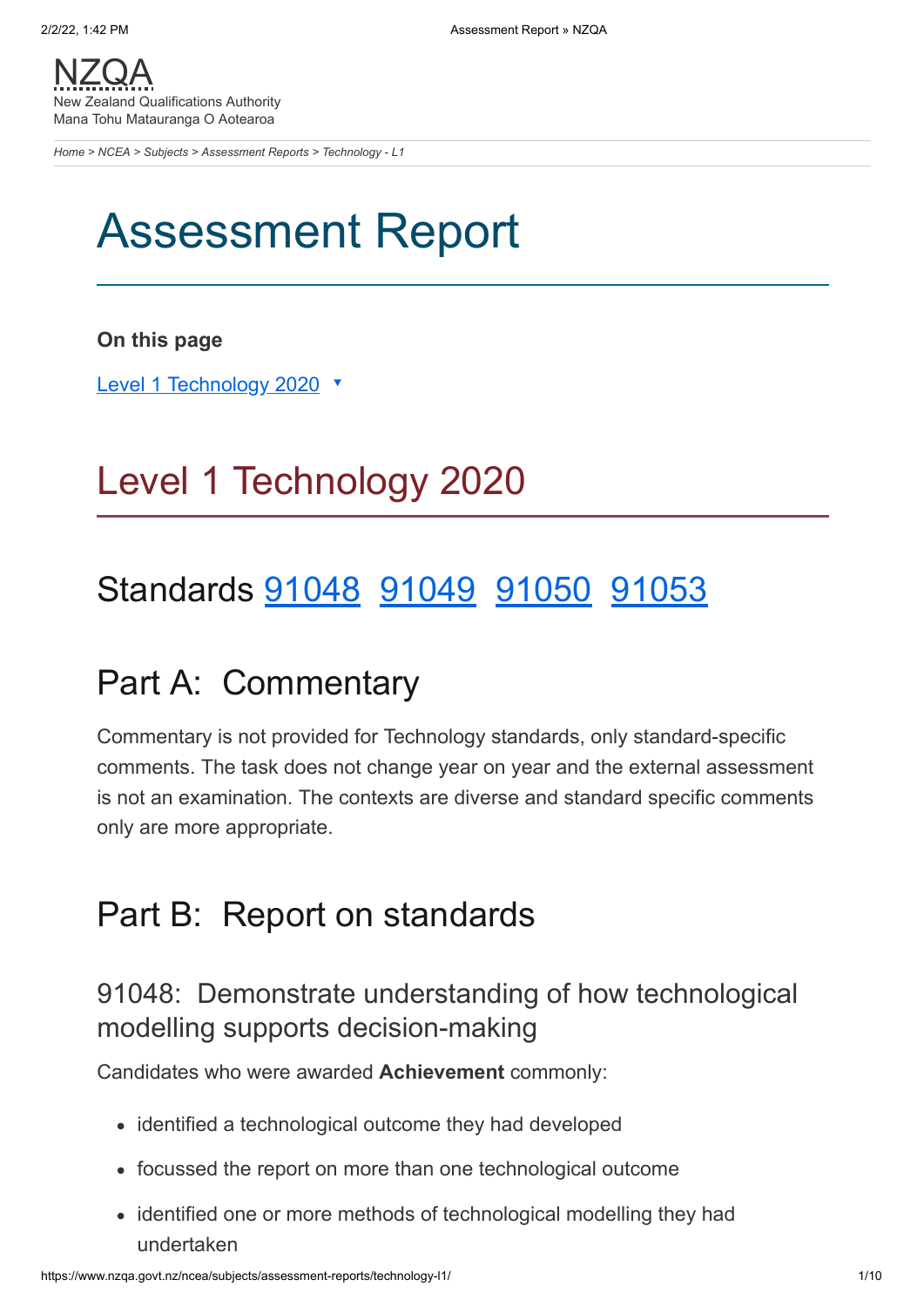[NZQA](https://www.nzqa.govt.nz/) New Zealand Qualifications Authority Mana Tohu Matauranga O Aotearoa

*[Home](https://www.nzqa.govt.nz/home) > [NCEA](https://www.nzqa.govt.nz/ncea/) > [Subjects](https://www.nzqa.govt.nz/ncea/subjects/) > [Assessment Reports](https://www.nzqa.govt.nz/ncea/subjects/assessment-reports/) > Technology - L1*

# Assessment Report

### **On this page**

Level 1 [Technology](https://www.nzqa.govt.nz/ncea/subjects/assessment-reports/technology-l1/#heading2-0) 2020 ▼

# Level 1 Technology 2020

# Standards [91048](https://www.nzqa.govt.nz/ncea/subjects/assessment-reports/technology-l1/#91048) [91049](https://www.nzqa.govt.nz/ncea/subjects/assessment-reports/technology-l1/#91049) [91050](https://www.nzqa.govt.nz/ncea/subjects/assessment-reports/technology-l1/#91050) [91053](https://www.nzqa.govt.nz/ncea/subjects/assessment-reports/technology-l1/#91053)

## Part A: Commentary

Commentary is not provided for Technology standards, only standard-specific comments. The task does not change year on year and the external assessment is not an examination. The contexts are diverse and standard specific comments only are more appropriate.

## Part B: Report on standards

## 91048: Demonstrate understanding of how technological modelling supports decision-making

Candidates who were awarded **Achievement** commonly:

- identified a technological outcome they had developed
- focussed the report on more than one technological outcome
- identified one or more methods of technological modelling they had undertaken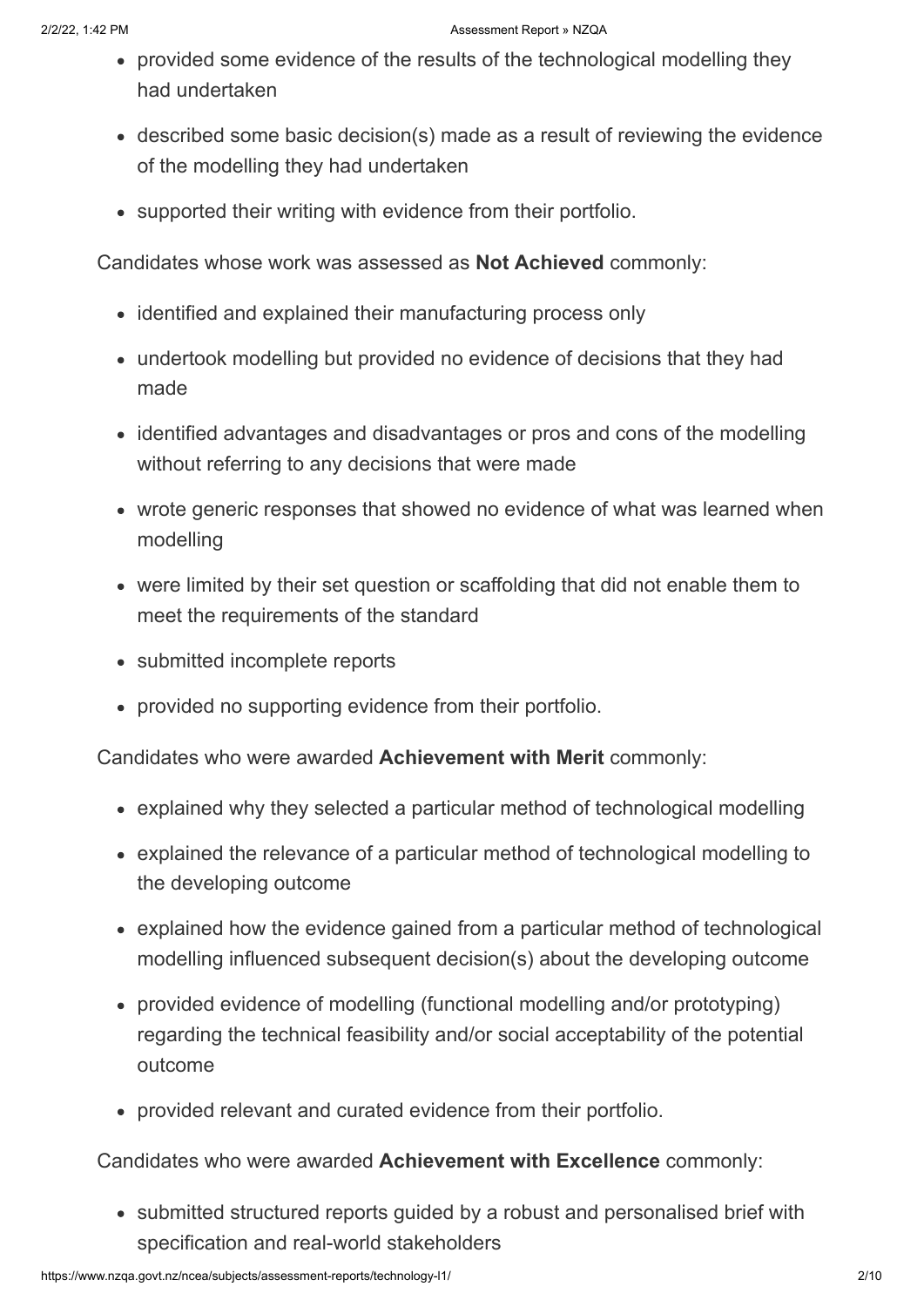- provided some evidence of the results of the technological modelling they had undertaken
- described some basic decision(s) made as a result of reviewing the evidence of the modelling they had undertaken
- supported their writing with evidence from their portfolio.

Candidates whose work was assessed as **Not Achieved** commonly:

- identified and explained their manufacturing process only
- undertook modelling but provided no evidence of decisions that they had made
- identified advantages and disadvantages or pros and cons of the modelling without referring to any decisions that were made
- wrote generic responses that showed no evidence of what was learned when modelling
- were limited by their set question or scaffolding that did not enable them to meet the requirements of the standard
- submitted incomplete reports
- provided no supporting evidence from their portfolio.

Candidates who were awarded **Achievement with Merit** commonly:

- explained why they selected a particular method of technological modelling
- explained the relevance of a particular method of technological modelling to the developing outcome
- explained how the evidence gained from a particular method of technological modelling influenced subsequent decision(s) about the developing outcome
- provided evidence of modelling (functional modelling and/or prototyping) regarding the technical feasibility and/or social acceptability of the potential outcome
- provided relevant and curated evidence from their portfolio.

Candidates who were awarded **Achievement with Excellence** commonly:

• submitted structured reports guided by a robust and personalised brief with specification and real-world stakeholders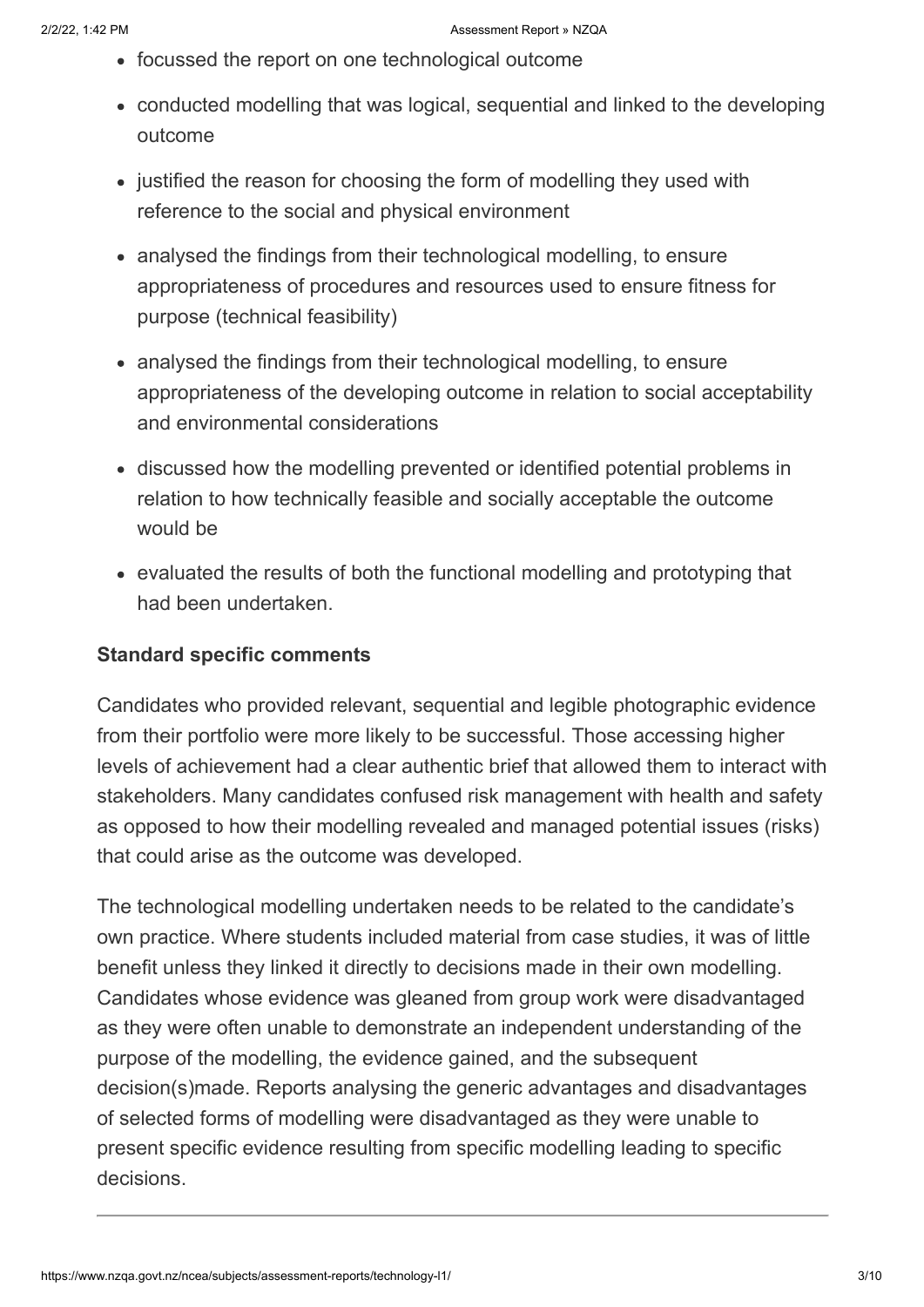- focussed the report on one technological outcome
- conducted modelling that was logical, sequential and linked to the developing outcome
- justified the reason for choosing the form of modelling they used with reference to the social and physical environment
- analysed the findings from their technological modelling, to ensure appropriateness of procedures and resources used to ensure fitness for purpose (technical feasibility)
- analysed the findings from their technological modelling, to ensure appropriateness of the developing outcome in relation to social acceptability and environmental considerations
- discussed how the modelling prevented or identified potential problems in relation to how technically feasible and socially acceptable the outcome would be
- evaluated the results of both the functional modelling and prototyping that had been undertaken.

#### **Standard specific comments**

Candidates who provided relevant, sequential and legible photographic evidence from their portfolio were more likely to be successful. Those accessing higher levels of achievement had a clear authentic brief that allowed them to interact with stakeholders. Many candidates confused risk management with health and safety as opposed to how their modelling revealed and managed potential issues (risks) that could arise as the outcome was developed.

The technological modelling undertaken needs to be related to the candidate's own practice. Where students included material from case studies, it was of little benefit unless they linked it directly to decisions made in their own modelling. Candidates whose evidence was gleaned from group work were disadvantaged as they were often unable to demonstrate an independent understanding of the purpose of the modelling, the evidence gained, and the subsequent decision(s)made. Reports analysing the generic advantages and disadvantages of selected forms of modelling were disadvantaged as they were unable to present specific evidence resulting from specific modelling leading to specific decisions.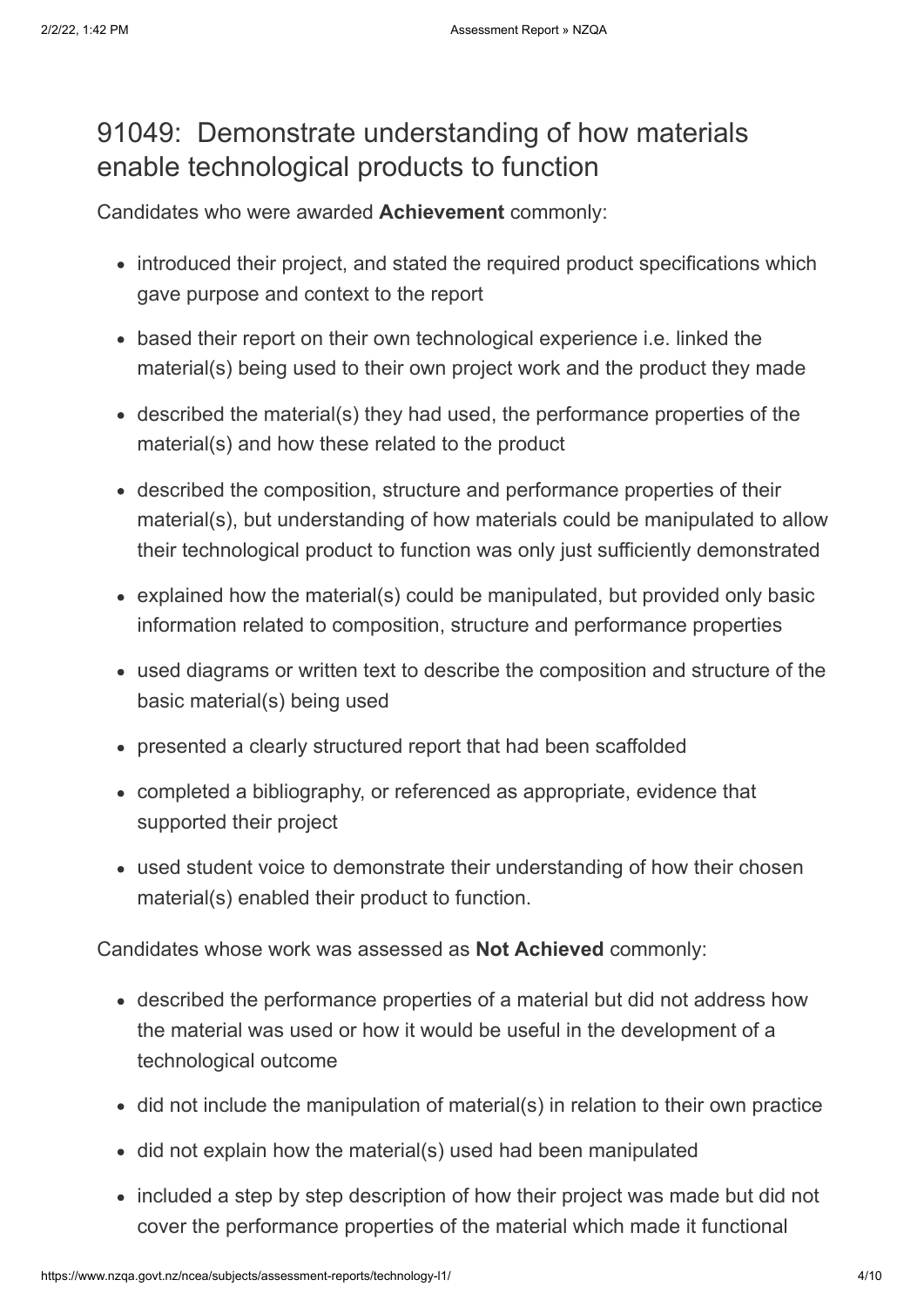## 91049: Demonstrate understanding of how materials enable technological products to function

Candidates who were awarded **Achievement** commonly:

- introduced their project, and stated the required product specifications which gave purpose and context to the report
- based their report on their own technological experience i.e. linked the material(s) being used to their own project work and the product they made
- described the material(s) they had used, the performance properties of the material(s) and how these related to the product
- described the composition, structure and performance properties of their material(s), but understanding of how materials could be manipulated to allow their technological product to function was only just sufficiently demonstrated
- explained how the material(s) could be manipulated, but provided only basic information related to composition, structure and performance properties
- used diagrams or written text to describe the composition and structure of the basic material(s) being used
- presented a clearly structured report that had been scaffolded
- completed a bibliography, or referenced as appropriate, evidence that supported their project
- used student voice to demonstrate their understanding of how their chosen material(s) enabled their product to function.

Candidates whose work was assessed as **Not Achieved** commonly:

- described the performance properties of a material but did not address how the material was used or how it would be useful in the development of a technological outcome
- did not include the manipulation of material(s) in relation to their own practice
- did not explain how the material(s) used had been manipulated
- included a step by step description of how their project was made but did not cover the performance properties of the material which made it functional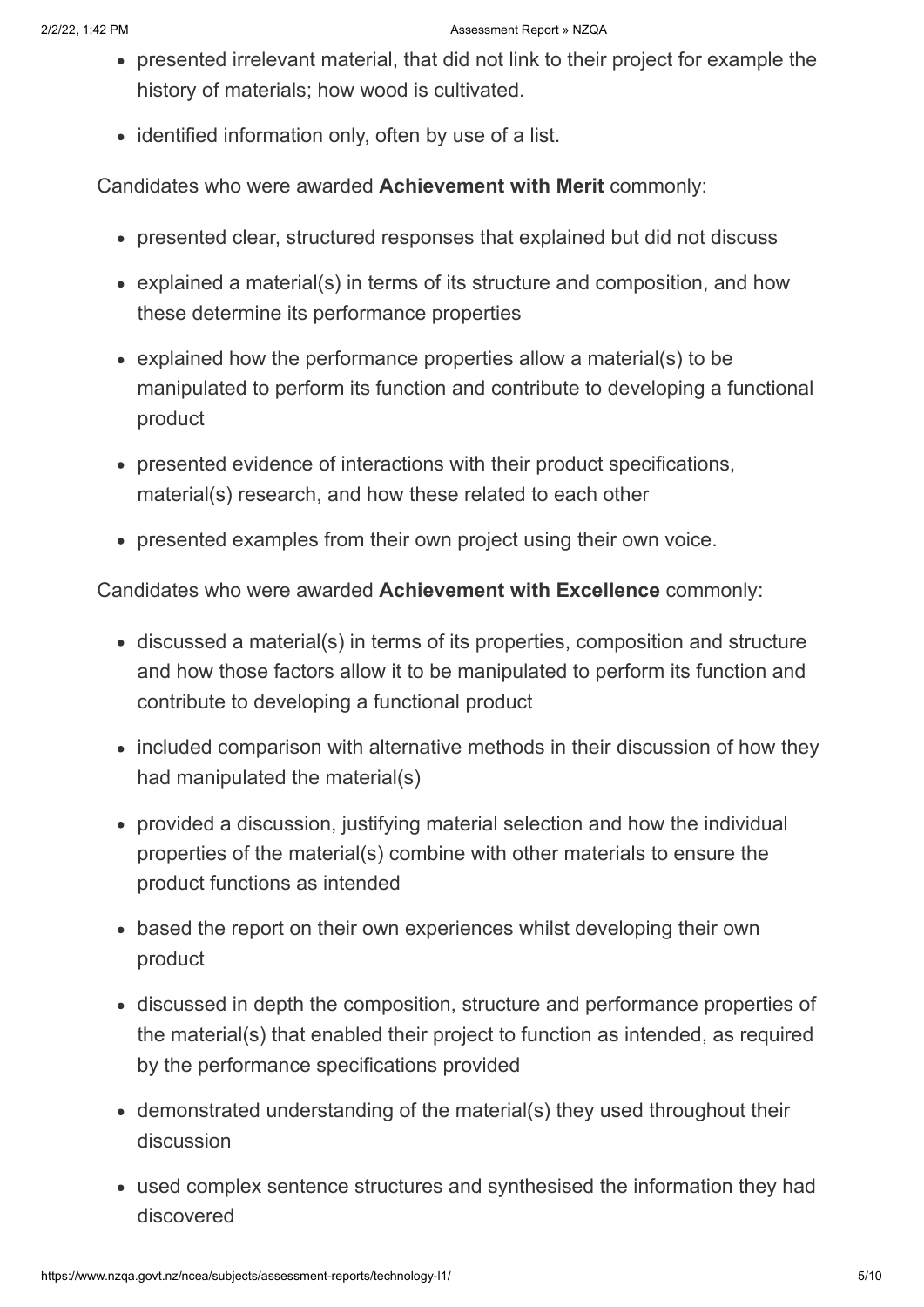- presented irrelevant material, that did not link to their project for example the history of materials; how wood is cultivated.
- identified information only, often by use of a list.

Candidates who were awarded **Achievement with Merit** commonly:

- presented clear, structured responses that explained but did not discuss
- explained a material(s) in terms of its structure and composition, and how these determine its performance properties
- explained how the performance properties allow a material(s) to be manipulated to perform its function and contribute to developing a functional product
- presented evidence of interactions with their product specifications, material(s) research, and how these related to each other
- presented examples from their own project using their own voice.

Candidates who were awarded **Achievement with Excellence** commonly:

- discussed a material(s) in terms of its properties, composition and structure and how those factors allow it to be manipulated to perform its function and contribute to developing a functional product
- included comparison with alternative methods in their discussion of how they had manipulated the material(s)
- provided a discussion, justifying material selection and how the individual properties of the material(s) combine with other materials to ensure the product functions as intended
- based the report on their own experiences whilst developing their own product
- discussed in depth the composition, structure and performance properties of the material(s) that enabled their project to function as intended, as required by the performance specifications provided
- demonstrated understanding of the material(s) they used throughout their discussion
- used complex sentence structures and synthesised the information they had discovered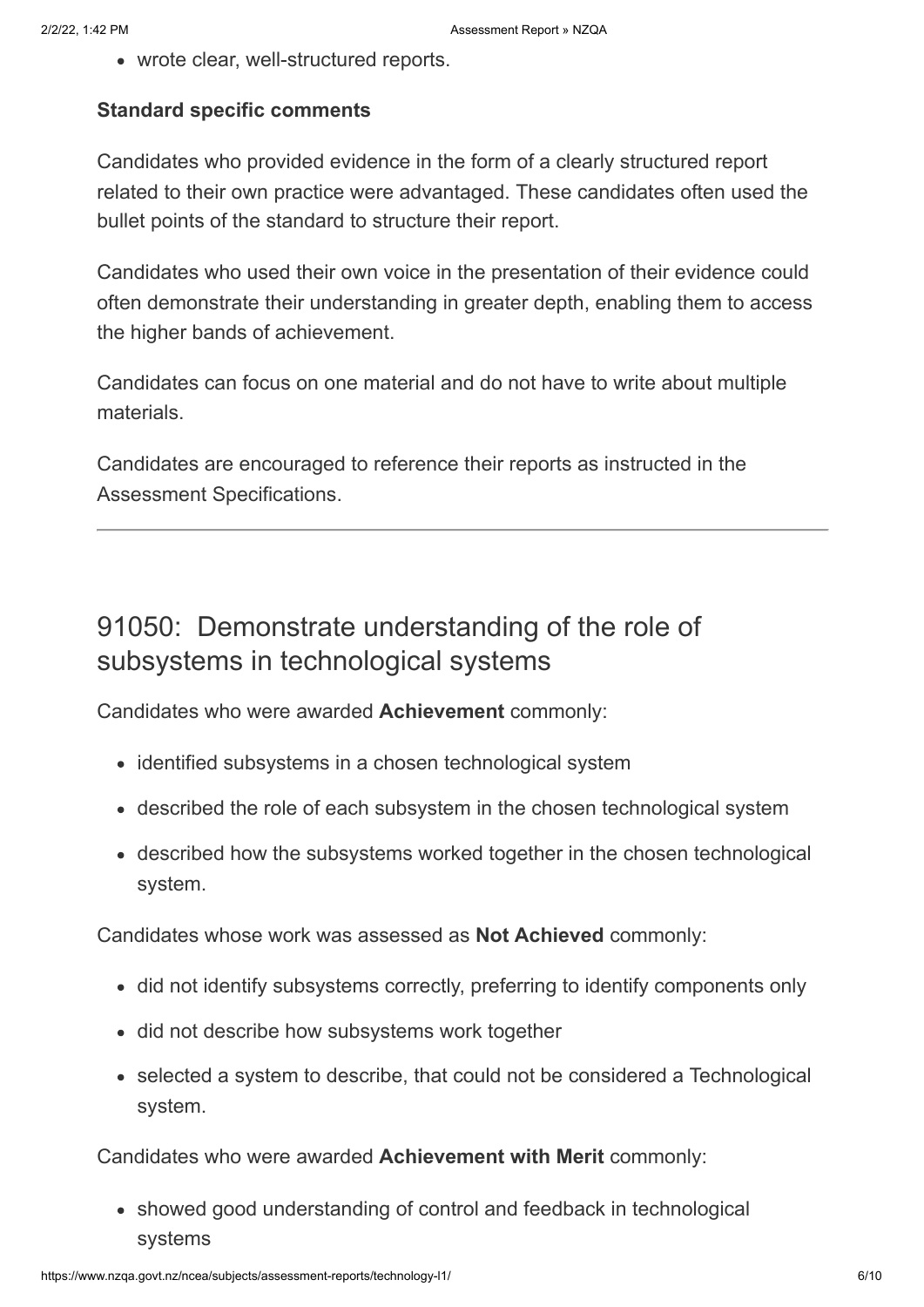wrote clear, well-structured reports.

### **Standard specific comments**

Candidates who provided evidence in the form of a clearly structured report related to their own practice were advantaged. These candidates often used the bullet points of the standard to structure their report.

Candidates who used their own voice in the presentation of their evidence could often demonstrate their understanding in greater depth, enabling them to access the higher bands of achievement.

Candidates can focus on one material and do not have to write about multiple materials.

Candidates are encouraged to reference their reports as instructed in the Assessment Specifications.

## 91050: Demonstrate understanding of the role of subsystems in technological systems

Candidates who were awarded **Achievement** commonly:

- identified subsystems in a chosen technological system
- described the role of each subsystem in the chosen technological system
- described how the subsystems worked together in the chosen technological system.

Candidates whose work was assessed as **Not Achieved** commonly:

- did not identify subsystems correctly, preferring to identify components only
- did not describe how subsystems work together
- selected a system to describe, that could not be considered a Technological system.

Candidates who were awarded **Achievement with Merit** commonly:

showed good understanding of control and feedback in technological systems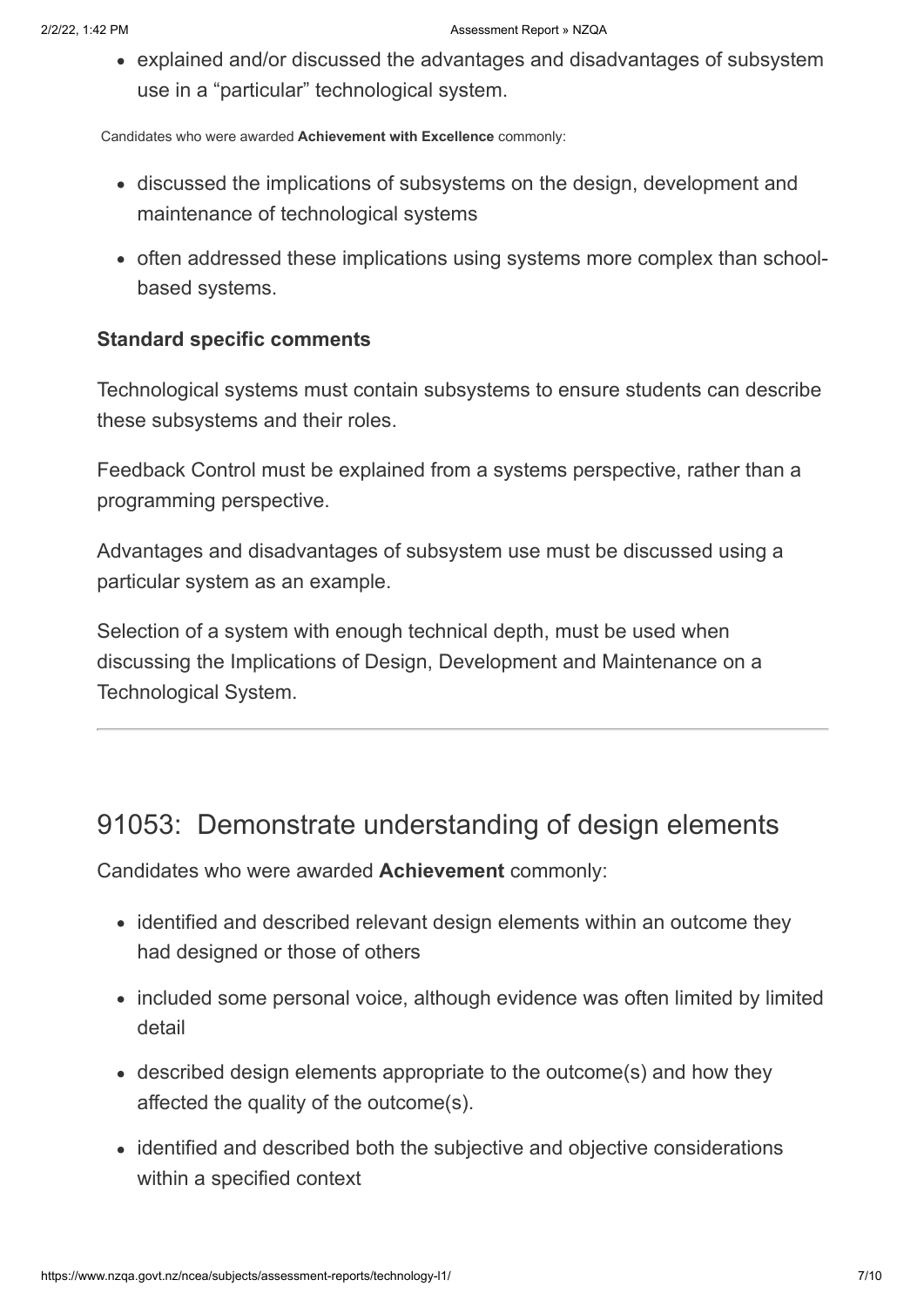explained and/or discussed the advantages and disadvantages of subsystem use in a "particular" technological system.

Candidates who were awarded **Achievement with Excellence** commonly:

- discussed the implications of subsystems on the design, development and maintenance of technological systems
- often addressed these implications using systems more complex than schoolbased systems.

#### **Standard specific comments**

Technological systems must contain subsystems to ensure students can describe these subsystems and their roles.

Feedback Control must be explained from a systems perspective, rather than a programming perspective.

Advantages and disadvantages of subsystem use must be discussed using a particular system as an example.

Selection of a system with enough technical depth, must be used when discussing the Implications of Design, Development and Maintenance on a Technological System.

### 91053: Demonstrate understanding of design elements

Candidates who were awarded **Achievement** commonly:

- identified and described relevant design elements within an outcome they had designed or those of others
- included some personal voice, although evidence was often limited by limited detail
- described design elements appropriate to the outcome(s) and how they affected the quality of the outcome(s).
- identified and described both the subjective and objective considerations within a specified context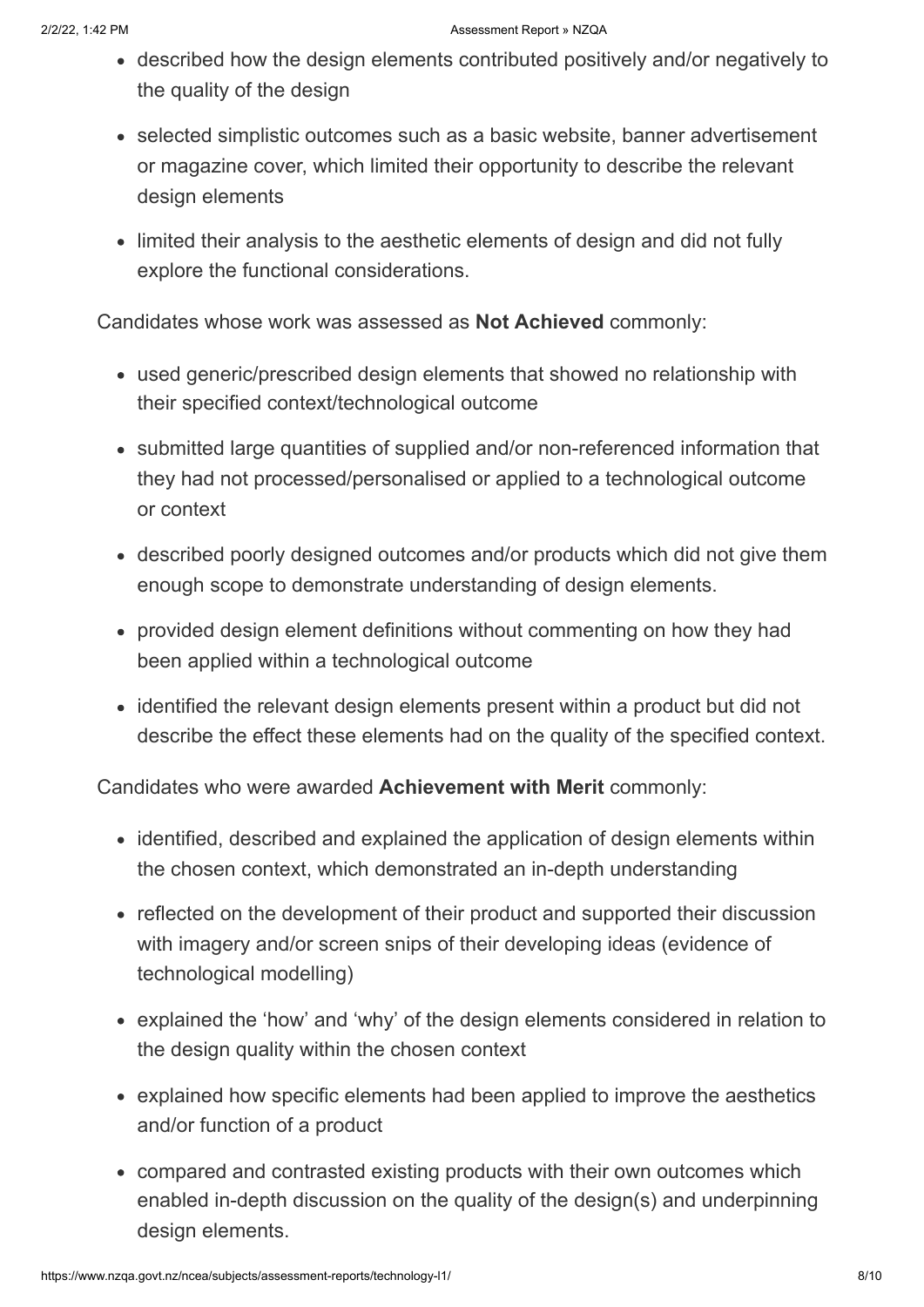- described how the design elements contributed positively and/or negatively to the quality of the design
- selected simplistic outcomes such as a basic website, banner advertisement or magazine cover, which limited their opportunity to describe the relevant design elements
- limited their analysis to the aesthetic elements of design and did not fully explore the functional considerations.

Candidates whose work was assessed as **Not Achieved** commonly:

- used generic/prescribed design elements that showed no relationship with their specified context/technological outcome
- submitted large quantities of supplied and/or non-referenced information that they had not processed/personalised or applied to a technological outcome or context
- described poorly designed outcomes and/or products which did not give them enough scope to demonstrate understanding of design elements.
- provided design element definitions without commenting on how they had been applied within a technological outcome
- identified the relevant design elements present within a product but did not describe the effect these elements had on the quality of the specified context.

Candidates who were awarded **Achievement with Merit** commonly:

- identified, described and explained the application of design elements within the chosen context, which demonstrated an in-depth understanding
- reflected on the development of their product and supported their discussion with imagery and/or screen snips of their developing ideas (evidence of technological modelling)
- explained the 'how' and 'why' of the design elements considered in relation to the design quality within the chosen context
- explained how specific elements had been applied to improve the aesthetics and/or function of a product
- compared and contrasted existing products with their own outcomes which enabled in-depth discussion on the quality of the design(s) and underpinning design elements.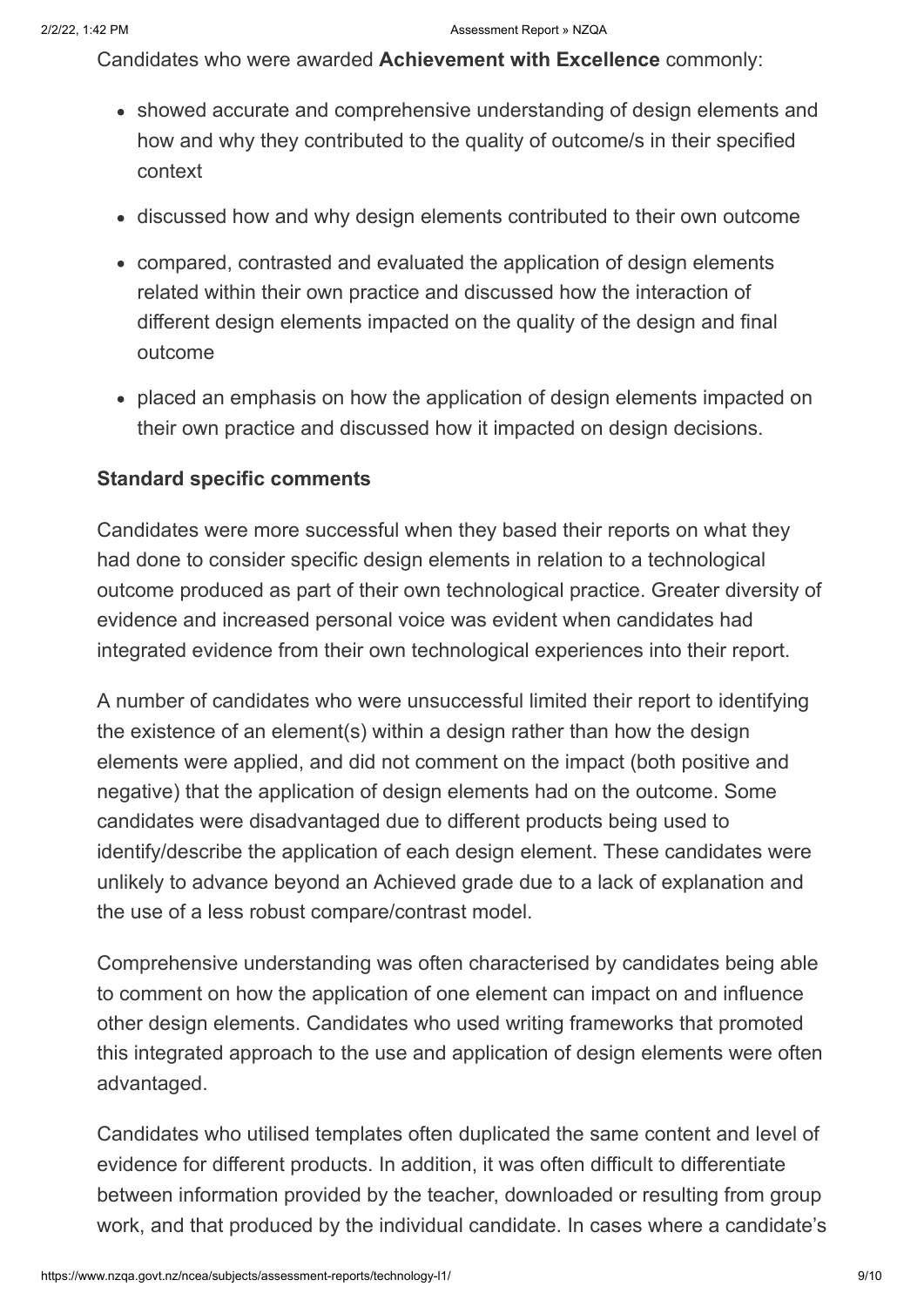Candidates who were awarded **Achievement with Excellence** commonly:

- showed accurate and comprehensive understanding of design elements and how and why they contributed to the quality of outcome/s in their specified context
- discussed how and why design elements contributed to their own outcome
- compared, contrasted and evaluated the application of design elements related within their own practice and discussed how the interaction of different design elements impacted on the quality of the design and final outcome
- placed an emphasis on how the application of design elements impacted on their own practice and discussed how it impacted on design decisions.

### **Standard specific comments**

Candidates were more successful when they based their reports on what they had done to consider specific design elements in relation to a technological outcome produced as part of their own technological practice. Greater diversity of evidence and increased personal voice was evident when candidates had integrated evidence from their own technological experiences into their report.

A number of candidates who were unsuccessful limited their report to identifying the existence of an element(s) within a design rather than how the design elements were applied, and did not comment on the impact (both positive and negative) that the application of design elements had on the outcome. Some candidates were disadvantaged due to different products being used to identify/describe the application of each design element. These candidates were unlikely to advance beyond an Achieved grade due to a lack of explanation and the use of a less robust compare/contrast model.

Comprehensive understanding was often characterised by candidates being able to comment on how the application of one element can impact on and influence other design elements. Candidates who used writing frameworks that promoted this integrated approach to the use and application of design elements were often advantaged.

Candidates who utilised templates often duplicated the same content and level of evidence for different products. In addition, it was often difficult to differentiate between information provided by the teacher, downloaded or resulting from group work, and that produced by the individual candidate. In cases where a candidate's